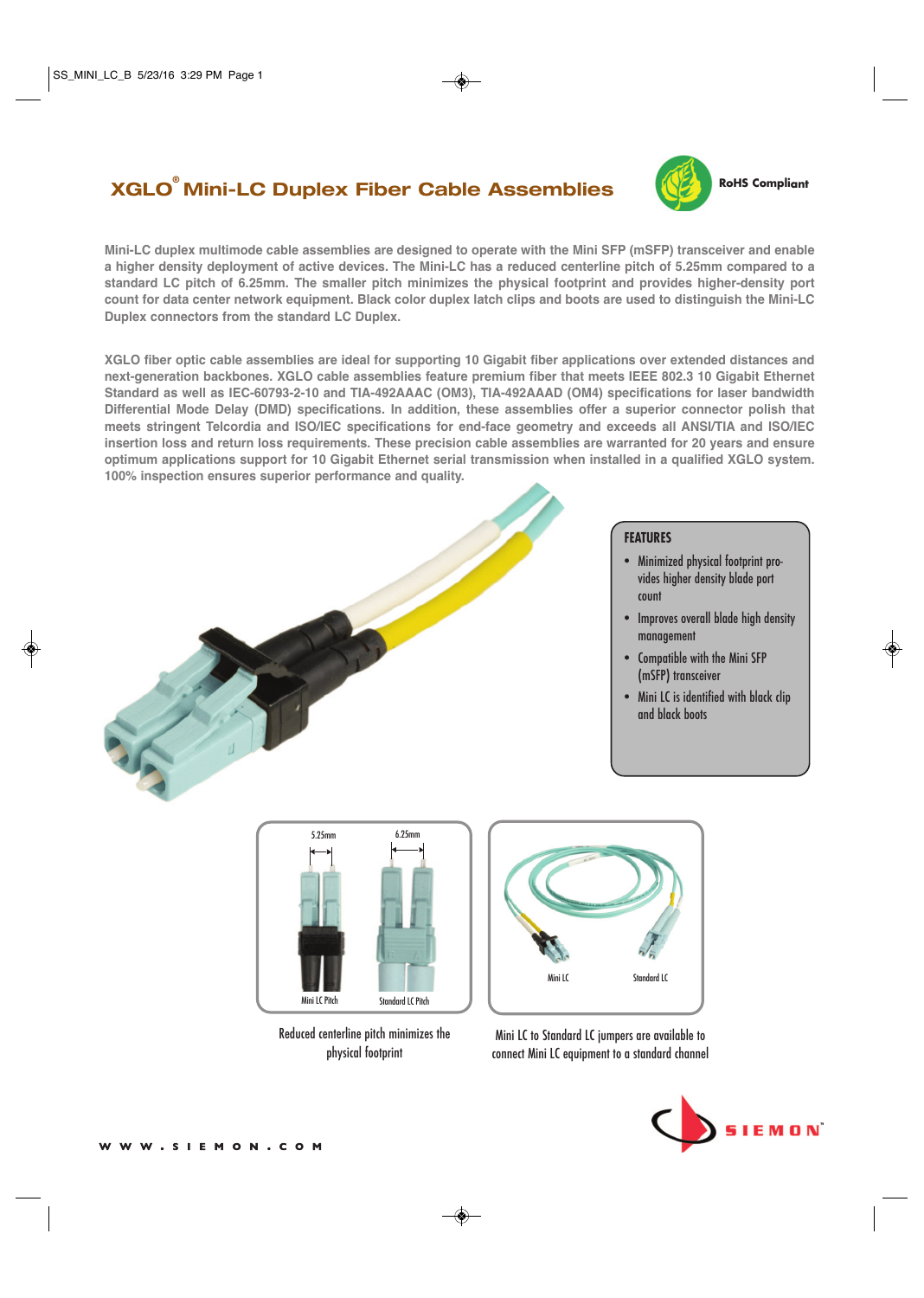# **XGLO® Mini-LC Duplex Fiber Cable Assemblies**



**RoHS Compliant**

**Mini-LC duplex multimode cable assemblies are designed to operate with the Mini SFP (mSFP) transceiver and enable a higher density deployment of active devices. The Mini-LC has a reduced centerline pitch of 5.25mm compared to a standard LC pitch of 6.25mm. The smaller pitch minimizes the physical footprint and provides higher-density port count for data center network equipment. Black color duplex latch clips and boots are used to distinguish the Mini-LC Duplex connectors from the standard LC Duplex.** 

**XGLO fiber optic cable assemblies are ideal for supporting 10 Gigabit fiber applications over extended distances and next-generation backbones. XGLO cable assemblies feature premium fiber that meets IEEE 802.3 10 Gigabit Ethernet Standard as well as IEC-60793-2-10 and TIA-492AAAC (OM3), TIA-492AAAD (OM4) specifications for laser bandwidth Differential Mode Delay (DMD) specifications. In addition, these assemblies offer a superior connector polish that meets stringent Telcordia and ISO/IEC specifications for end-face geometry and exceeds all ANSI/TIA and ISO/IEC insertion loss and return loss requirements. These precision cable assemblies are warranted for 20 years and ensure optimum applications support for 10 Gigabit Ethernet serial transmission when installed in a qualified XGLO system. 100% inspection ensures superior performance and quality.**



- Minimized physical footprint provides higher density blade port count
- Improves overall blade high density management
- Compatible with the Mini SFP (mSFP) transceiver
- Mini LC is identified with black clip and black boots



Reduced centerline pitch minimizes the physical footprint



Mini LC to Standard LC jumpers are available to connect Mini LC equipment to a standard channel



W.SIEMON.COM